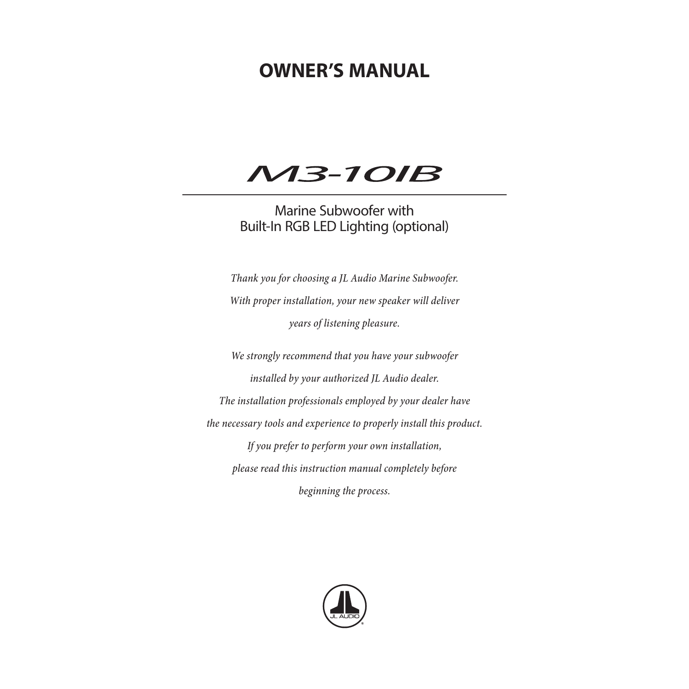# **OWNER'S MANUAL**

# **M3-10IB**

# Marine Subwoofer with Built-In RGB LED Lighting (optional)

*Thank you for choosing a JL Audio Marine Subwoofer. With proper installation, your new speaker will deliver years of listening pleasure.*

*We strongly recommend that you have your subwoofer installed by your authorized JL Audio dealer. The installation professionals employed by your dealer have the necessary tools and experience to properly install this product. If you prefer to perform your own installation, please read this instruction manual completely before beginning the process.*

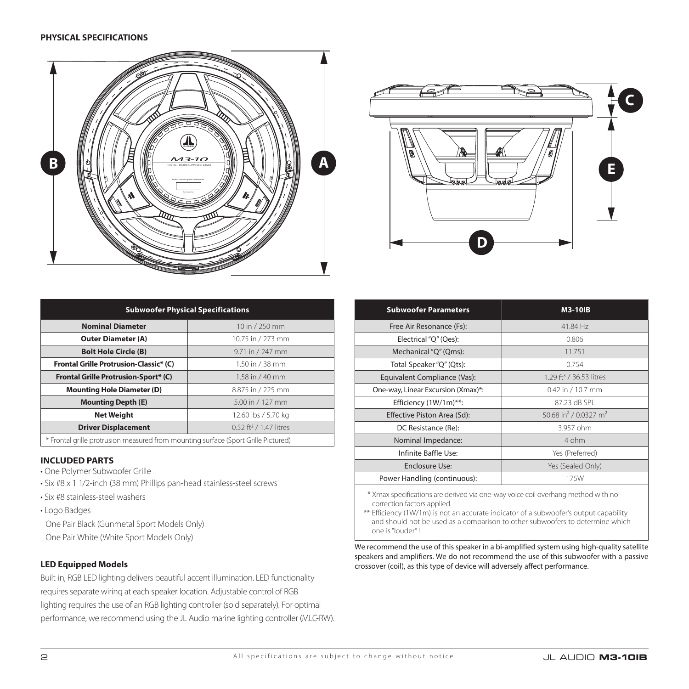



| <b>Subwoofer Physical Specifications</b>                                           |                   |
|------------------------------------------------------------------------------------|-------------------|
| <b>Nominal Diameter</b>                                                            | 10 in / 250 mm    |
| <b>Outer Diameter (A)</b>                                                          | 10.75 in / 273 mm |
| <b>Bolt Hole Circle (B)</b>                                                        | 9.71 in / 247 mm  |
| Frontal Grille Protrusion-Classic* (C)                                             | 1.50 in $/$ 38 mm |
| <b>Frontal Grille Protrusion-Sport* (C)</b>                                        | 1.58 in / 40 mm   |
| <b>Mounting Hole Diameter (D)</b>                                                  | 8.875 in / 225 mm |
| <b>Mounting Depth (E)</b><br>5.00 in / 127 mm                                      |                   |
| <b>Net Weight</b><br>12.60 lbs / 5.70 kg                                           |                   |
| 0.52 ft <sup>3</sup> / 1.47 litres<br><b>Driver Displacement</b>                   |                   |
| * Frontal grille protrusion measured from mounting surface (Sport Grille Pictured) |                   |

# **INCLUDED PARTS**

- One Polymer Subwoofer Grille
- Six #8 x 1 1/2-inch (38 mm) Phillips pan-head stainless-steel screws
- Six #8 stainless-steel washers
- Logo Badges

One Pair Black (Gunmetal Sport Models Only)

One Pair White (White Sport Models Only)

# **LED Equipped Models**

Built-in, RGB LED lighting delivers beautiful accent illumination. LED functionality requires separate wiring at each speaker location. Adjustable control of RGB lighting requires the use of an RGB lighting controller (sold separately). For optimal performance, we recommend using the JL Audio marine lighting controller (MLC-RW).

| <b>Subwoofer Parameters</b>        | <b>M3-10IB</b>                                |
|------------------------------------|-----------------------------------------------|
| Free Air Resonance (Fs):           | 41.84 Hz                                      |
| Electrical "Q" (Qes):              | 0.806                                         |
| Mechanical "Q" (Qms):              | 11.751                                        |
| Total Speaker "Q" (Qts):           | 0.754                                         |
| Equivalent Compliance (Vas):       | 1.29 ft <sup>3</sup> / 36.53 litres           |
| One-way, Linear Excursion (Xmax)*: | 0.42 in / 10.7 mm                             |
| Efficiency (1W/1m)**:              | 87.23 dB SPL                                  |
| Effective Piston Area (Sd):        | 50.68 in <sup>2</sup> / 0.0327 m <sup>2</sup> |
| DC Resistance (Re):                | 3.957 ohm                                     |
| Nominal Impedance:                 | 4 ohm                                         |
| Infinite Baffle Use:               | Yes (Preferred)                               |
| Enclosure Use:                     | Yes (Sealed Only)                             |
| Power Handling (continuous):       | 175W                                          |

 \* Xmax specifications are derived via one-way voice coil overhang method with no correction factors applied.

\*\* Efficiency (1W/1m) is not an accurate indicator of a subwoofer's output capability and should not be used as a comparison to other subwoofers to determine which one is "louder" !

We recommend the use of this speaker in a bi-amplified system using high-quality satellite speakers and amplifiers. We do not recommend the use of this subwoofer with a passive crossover (coil), as this type of device will adversely affect performance.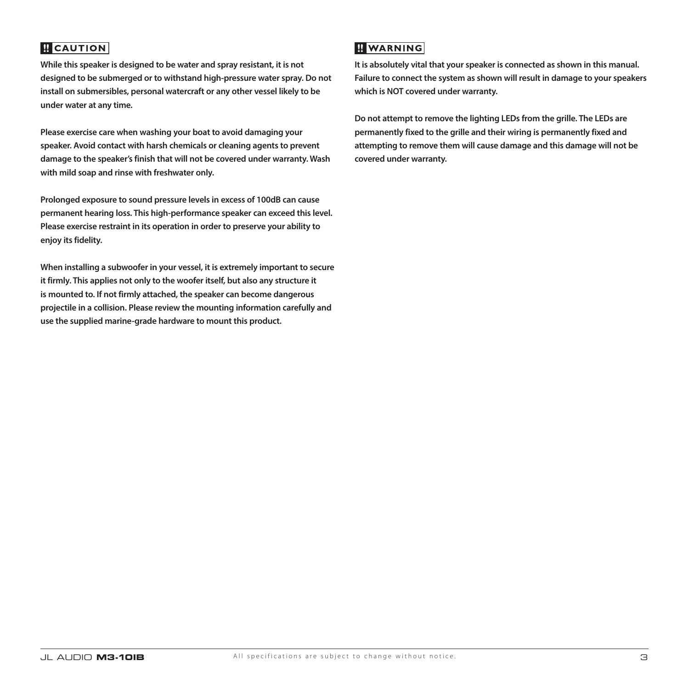# **B** CAUTION

**While this speaker is designed to be water and spray resistant, it is not designed to be submerged or to withstand high-pressure water spray. Do not install on submersibles, personal watercraft or any other vessel likely to be under water at any time.**

**Please exercise care when washing your boat to avoid damaging your speaker. Avoid contact with harsh chemicals or cleaning agents to prevent damage to the speaker's finish that will not be covered under warranty. Wash with mild soap and rinse with freshwater only.** 

**Prolonged exposure to sound pressure levels in excess of 100dB can cause permanent hearing loss. This high-performance speaker can exceed this level. Please exercise restraint in its operation in order to preserve your ability to enjoy its fidelity.**

**When installing a subwoofer in your vessel, it is extremely important to secure it firmly. This applies not only to the woofer itself, but also any structure it is mounted to. If not firmly attached, the speaker can become dangerous projectile in a collision. Please review the mounting information carefully and use the supplied marine-grade hardware to mount this product.**

# **WARNING**

**It is absolutely vital that your speaker is connected as shown in this manual. Failure to connect the system as shown will result in damage to your speakers which is NOT covered under warranty.** 

**Do not attempt to remove the lighting LEDs from the grille. The LEDs are permanently fixed to the grille and their wiring is permanently fixed and attempting to remove them will cause damage and this damage will not be covered under warranty.**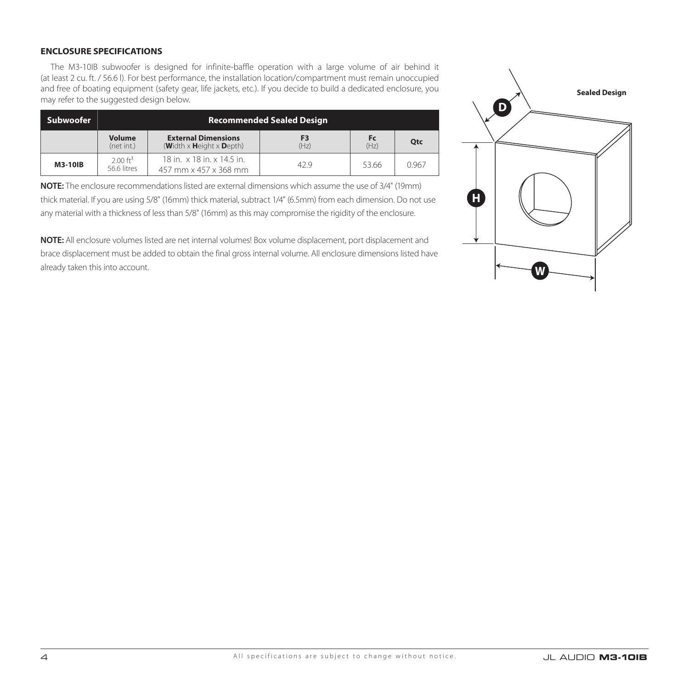# **ENCLOSURE SPECIFICATIONS**

The M3-10IB subwoofer is designed for infinite-baffle operation with a large volume of air behind it (at least 2 cu. ft. / 56.6 l). For best performance, the installation location/compartment must remain unoccupied and free of boating equipment (safety gear, life jackets, etc.). If you decide to build a dedicated enclosure, you may refer to the suggested design below.

| Subwoofer | <b>Recommended Sealed Design</b>   |                                                                   |            |                   |            |
|-----------|------------------------------------|-------------------------------------------------------------------|------------|-------------------|------------|
|           | <b>Volume</b><br>(net int.)        | <b>External Dimensions</b><br>(Width $x$ Height $x$ Depth)        | F3<br>(Hz) | <b>Fc</b><br>(Hz) | <b>Otc</b> |
| M3-10IB   | $2.00 \text{ ft}^3$<br>56.6 litres | 18 in. $\times$ 18 in. $\times$ 14.5 in.<br>457 mm x 457 x 368 mm | 42.9       | 53.66             | 0.967      |

**NOTE:** The enclosure recommendations listed are external dimensions which assume the use of 3/4" (19mm) thick material. If you are using 5/8" (16mm) thick material, subtract 1/4" (6.5mm) from each dimension. Do not use any material with a thickness of less than 5/8" (16mm) as this may compromise the rigidity of the enclosure.

**NOTE:** All enclosure volumes listed are net internal volumes! Box volume displacement, port displacement and brace displacement must be added to obtain the final gross internal volume. All enclosure dimensions listed have already taken this into account.

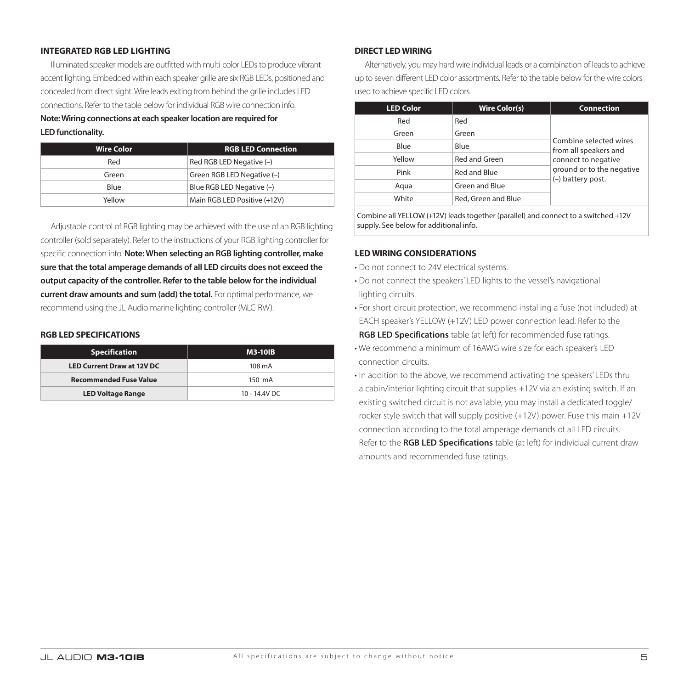# **INTEGRATED RGB LED LIGHTING**

Illuminated speaker models are outfitted with multi-color LEDs to produce vibrant accent lighting. Embedded within each speaker grille are six RGB LEDs, positioned and concealed from direct sight. Wire leads exiting from behind the grille includes LED connections. Refer to the table below for individual RGB wire connection info. **Note: Wiring connections at each speaker location are required for LED functionality.**

| <b>Wire Color</b> | <b>RGB LED Connection</b>    |
|-------------------|------------------------------|
| Red               | Red RGB LED Negative (-)     |
| Green             | Green RGB LED Negative (-)   |
| Blue              | Blue RGB LED Negative (-)    |
| Yellow            | Main RGB LED Positive (+12V) |

Adjustable control of RGB lighting may be achieved with the use of an RGB lighting controller (sold separately). Refer to the instructions of your RGB lighting controller for specific connection info. **Note: When selecting an RGB lighting controller, make sure that the total amperage demands of all LED circuits does not exceed the output capacity of the controller. Refer to the table below for the individual current draw amounts and sum (add) the total.** For optimal performance, we recommend using the JL Audio marine lighting controller (MLC-RW).

## **RGB LED SPECIFICATIONS**

| <b>Specification</b>              | <b>M3-10IB</b> |
|-----------------------------------|----------------|
| <b>LED Current Draw at 12V DC</b> | 108 mA         |
| <b>Recommended Fuse Value</b>     | 150 mA         |
| <b>LED Voltage Range</b>          | 10 - 14.4V DC  |

## **DIRECT LED WIRING**

Alternatively, you may hard wire individual leads or a combination of leads to achieve up to seven different LED color assortments. Refer to the table below for the wire colors used to achieve specific LED colors.

| <b>LED Color</b> | <b>Wire Color(s)</b> | <b>Connection</b>                               |  |
|------------------|----------------------|-------------------------------------------------|--|
| Red              | Red                  |                                                 |  |
| Green            | Green                | Combine selected wires<br>from all speakers and |  |
| Blue             | Blue                 |                                                 |  |
| Yellow           | Red and Green        | connect to negative                             |  |
| Pink             | Red and Blue         | ground or to the negative                       |  |
| Aqua             | Green and Blue       | (-) battery post.                               |  |
| White            | Red, Green and Blue  |                                                 |  |
|                  |                      |                                                 |  |

Combine all YELLOW (+12V) leads together (parallel) and connect to a switched +12V supply. See below for additional info.

#### **LED WIRING CONSIDERATIONS**

- Do not connect to 24V electrical systems.
- Do not connect the speakers' LED lights to the vessel's navigational lighting circuits.
- For short-circuit protection, we recommend installing a fuse (not included) at EACH speaker's YELLOW (+12V) LED power connection lead. Refer to the **RGB LED Specifications** table (at left) for recommended fuse ratings.
- We recommend a minimum of 16AWG wire size for each speaker's LED connection circuits.
- In addition to the above, we recommend activating the speakers' LEDs thru a cabin/interior lighting circuit that supplies +12V via an existing switch. If an existing switched circuit is not available, you may install a dedicated toggle/ rocker style switch that will supply positive (+12V) power. Fuse this main +12V connection according to the total amperage demands of all LED circuits. Refer to the **RGB LED Specifications** table (at left) for individual current draw amounts and recommended fuse ratings.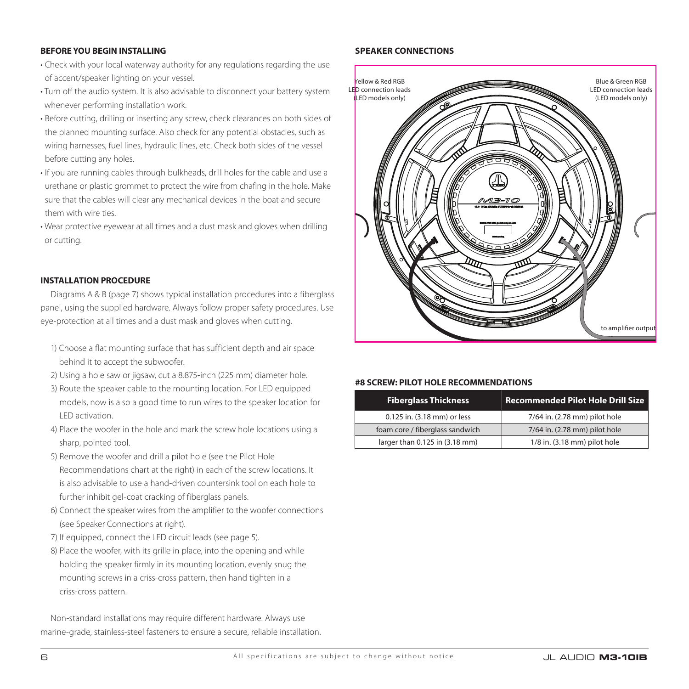# **BEFORE YOU BEGIN INSTALLING**

- Check with your local waterway authority for any regulations regarding the use of accent/speaker lighting on your vessel.
- Turn off the audio system. It is also advisable to disconnect your battery system whenever performing installation work.
- Before cutting, drilling or inserting any screw, check clearances on both sides of the planned mounting surface. Also check for any potential obstacles, such as wiring harnesses, fuel lines, hydraulic lines, etc. Check both sides of the vessel before cutting any holes.
- If you are running cables through bulkheads, drill holes for the cable and use a urethane or plastic grommet to protect the wire from chafing in the hole. Make sure that the cables will clear any mechanical devices in the boat and secure them with wire ties.
- Wear protective eyewear at all times and a dust mask and gloves when drilling or cutting.

# **INSTALLATION PROCEDURE**

Diagrams A & B (page 7) shows typical installation procedures into a fiberglass panel, using the supplied hardware. Always follow proper safety procedures. Use eye-protection at all times and a dust mask and gloves when cutting.

- 1) Choose a flat mounting surface that has sufficient depth and air space behind it to accept the subwoofer.
- 2) Using a hole saw or jigsaw, cut a 8.875-inch (225 mm) diameter hole.
- 3) Route the speaker cable to the mounting location. For LED equipped models, now is also a good time to run wires to the speaker location for LED activation.
- 4) Place the woofer in the hole and mark the screw hole locations using a sharp, pointed tool.
- 5) Remove the woofer and drill a pilot hole (see the Pilot Hole Recommendations chart at the right) in each of the screw locations. It is also advisable to use a hand-driven countersink tool on each hole to further inhibit gel-coat cracking of fiberglass panels.
- 6) Connect the speaker wires from the amplifier to the woofer connections (see Speaker Connections at right).
- 7) If equipped, connect the LED circuit leads (see page 5).
- 8) Place the woofer, with its grille in place, into the opening and while holding the speaker firmly in its mounting location, evenly snug the mounting screws in a criss-cross pattern, then hand tighten in a criss-cross pattern.

Non-standard installations may require different hardware. Always use marine-grade, stainless-steel fasteners to ensure a secure, reliable installation.

# **SPEAKER CONNECTIONS**



# **#8 SCREW: PILOT HOLE RECOMMENDATIONS**

| <b>Fiberglass Thickness</b>     | <b>Recommended Pilot Hole Drill Size</b> |
|---------------------------------|------------------------------------------|
| 0.125 in. (3.18 mm) or less     | 7/64 in. (2.78 mm) pilot hole            |
| foam core / fiberglass sandwich | 7/64 in. (2.78 mm) pilot hole            |
| larger than 0.125 in (3.18 mm)  | 1/8 in. (3.18 mm) pilot hole             |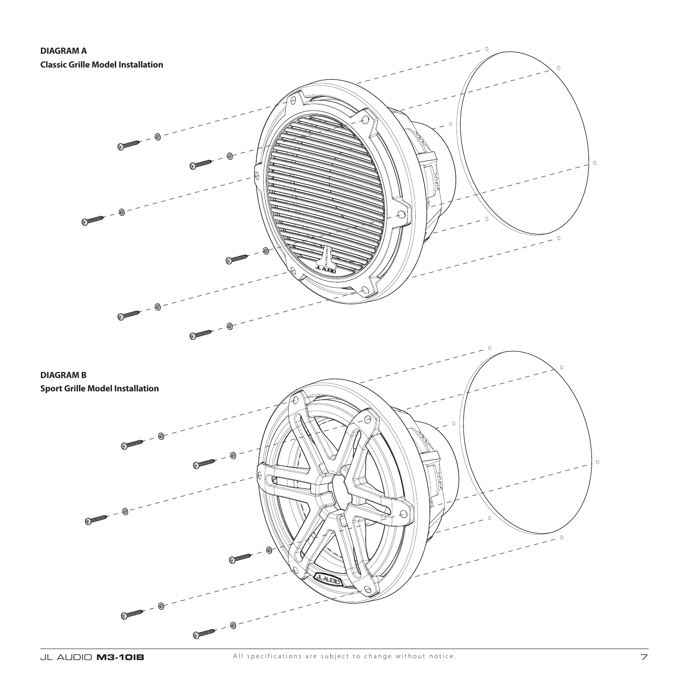